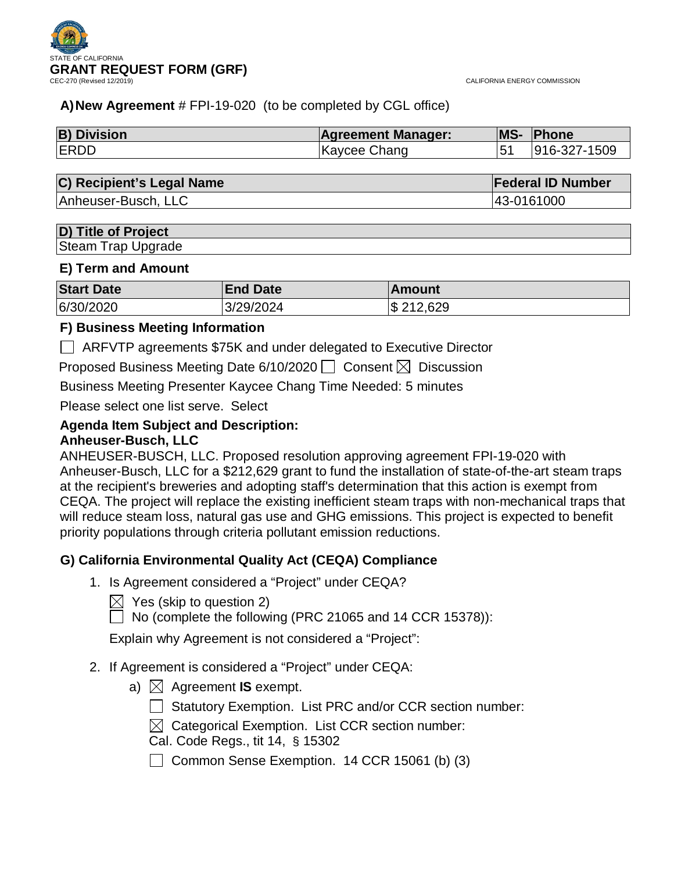

CALIFORNIA ENERGY COMMISSION

## **A)New Agreement** # FPI-19-020 (to be completed by CGL office)

| <b>B) Division</b> | <b>Agreement Manager:</b> | <b>MS-</b> | Phone            |
|--------------------|---------------------------|------------|------------------|
| <b>ERDD</b>        | Kaycee Chang              |            | $ 916-327-1509 $ |

## **C) Recipient's Legal Name Federal ID Number**

Anheuser-Busch, LLC 43-0161000

## **D) Title of Project**

Steam Trap Upgrade

### **E) Term and Amount**

| <b>Start Date</b> | <b>End Date</b> | Amount    |
|-------------------|-----------------|-----------|
| 6/30/2020         | 3/29/2024       | \$212,629 |

## **F) Business Meeting Information**

ARFVTP agreements \$75K and under delegated to Executive Director

Proposed Business Meeting Date 6/10/2020  $\Box$  Consent  $\boxtimes$  Discussion

Business Meeting Presenter Kaycee Chang Time Needed: 5 minutes

Please select one list serve. Select

### **Agenda Item Subject and Description: Anheuser-Busch, LLC**

ANHEUSER-BUSCH, LLC. Proposed resolution approving agreement FPI-19-020 with Anheuser-Busch, LLC for a \$212,629 grant to fund the installation of state-of-the-art steam traps at the recipient's breweries and adopting staff's determination that this action is exempt from CEQA. The project will replace the existing inefficient steam traps with non-mechanical traps that will reduce steam loss, natural gas use and GHG emissions. This project is expected to benefit priority populations through criteria pollutant emission reductions.

## **G) California Environmental Quality Act (CEQA) Compliance**

- 1. Is Agreement considered a "Project" under CEQA?
	- $\boxtimes$  Yes (skip to question 2)
	- $\Box$  No (complete the following (PRC 21065 and 14 CCR 15378)):

Explain why Agreement is not considered a "Project":

- 2. If Agreement is considered a "Project" under CEQA:
	- a)  $\boxtimes$  Agreement **IS** exempt.
		- Statutory Exemption. List PRC and/or CCR section number:
		- $\boxtimes$  Categorical Exemption. List CCR section number:
		- Cal. Code Regs., tit 14, § 15302
		- $\Box$  Common Sense Exemption. 14 CCR 15061 (b) (3)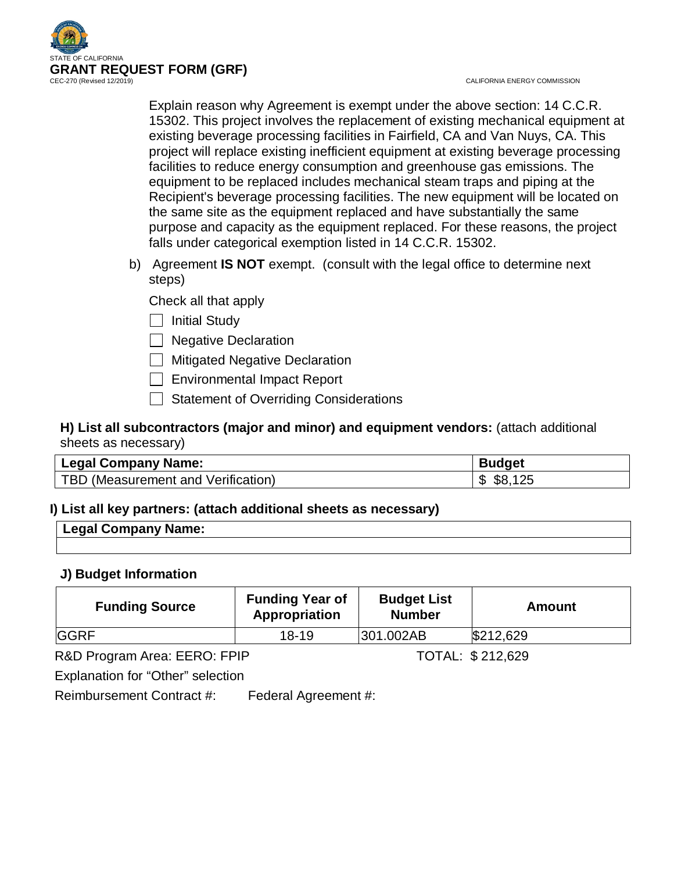

CALIFORNIA ENERGY COMMISSION

Explain reason why Agreement is exempt under the above section: 14 C.C.R. 15302. This project involves the replacement of existing mechanical equipment at existing beverage processing facilities in Fairfield, CA and Van Nuys, CA. This project will replace existing inefficient equipment at existing beverage processing facilities to reduce energy consumption and greenhouse gas emissions. The equipment to be replaced includes mechanical steam traps and piping at the Recipient's beverage processing facilities. The new equipment will be located on the same site as the equipment replaced and have substantially the same purpose and capacity as the equipment replaced. For these reasons, the project falls under categorical exemption listed in 14 C.C.R. 15302.

b) Agreement **IS NOT** exempt. (consult with the legal office to determine next steps)

Check all that apply

 $\Box$  Initial Study

Negative Declaration

**Mitigated Negative Declaration** 

- Environmental Impact Report
- Statement of Overriding Considerations

**H) List all subcontractors (major and minor) and equipment vendors:** (attach additional sheets as necessary)

| <b>Legal Company Name:</b>         | <b>Budget</b>  |
|------------------------------------|----------------|
| TBD (Measurement and Verification) | \$8.<br>௱<br>D |

## **I) List all key partners: (attach additional sheets as necessary)**

| Legal Company Name: |  |
|---------------------|--|
|                     |  |

## **J) Budget Information**

| <b>Funding Source</b>        | <b>Funding Year of</b><br>Appropriation | <b>Budget List</b><br><b>Number</b> | Amount           |
|------------------------------|-----------------------------------------|-------------------------------------|------------------|
| <b>GGRF</b>                  | $18 - 19$                               | 301.002AB                           | \$212,629        |
| R&D Program Area: EERO: FPIP |                                         |                                     | TOTAL: \$212,629 |

Explanation for "Other" selection

Reimbursement Contract #: Federal Agreement #: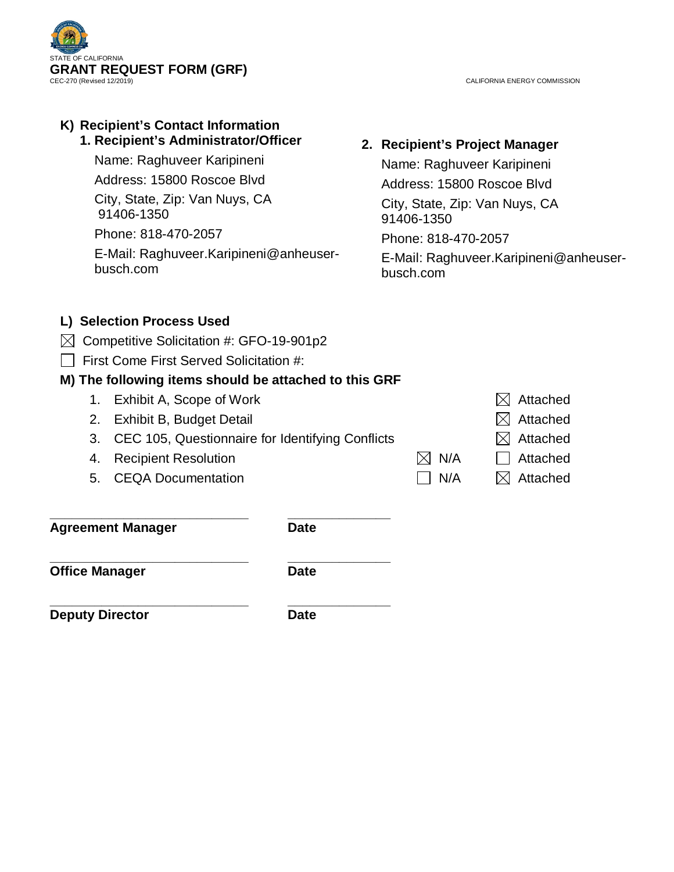

CALIFORNIA ENERGY COMMISSION

## **K) Recipient's Contact Information 1. Recipient's Administrator/Officer**

Name: Raghuveer Karipineni

Address: 15800 Roscoe Blvd

City, State, Zip: Van Nuys, CA 91406-1350

Phone: 818-470-2057

E-Mail: Raghuveer.Karipineni@anheuserbusch.com

# **2. Recipient's Project Manager**

Name: Raghuveer Karipineni Address: 15800 Roscoe Blvd City, State, Zip: Van Nuys, CA 91406-1350 Phone: 818-470-2057 E-Mail: Raghuveer.Karipineni@anheuserbusch.com

## **L) Selection Process Used**

- $\boxtimes$  Competitive Solicitation #: GFO-19-901p2
- First Come First Served Solicitation #:

## **M) The following items should be attached to this GRF**

- 1. Exhibit A, Scope of Work  $\boxtimes$  Attached
- 2. Exhibit B, Budget Detail  $\boxtimes$  Attached
- 3. CEC 105, Questionnaire for Identifying Conflicts  $\boxtimes$  Attached
- 4. Recipient Resolution  $\boxtimes$  N/A  $\Box$  Attached
- 5. CEQA Documentation  $\Box$  N/A  $\Box$  Attached

**\_\_\_\_\_\_\_\_\_\_\_\_\_\_\_\_\_\_\_\_\_\_\_\_\_\_\_ \_\_\_\_\_\_\_\_\_\_\_\_\_\_ Agreement Manager Date**

**Office Manager Date** 

**\_\_\_\_\_\_\_\_\_\_\_\_\_\_\_\_\_\_\_\_\_\_\_\_\_\_\_ \_\_\_\_\_\_\_\_\_\_\_\_\_\_**

**\_\_\_\_\_\_\_\_\_\_\_\_\_\_\_\_\_\_\_\_\_\_\_\_\_\_\_ \_\_\_\_\_\_\_\_\_\_\_\_\_\_ Deputy Director Date**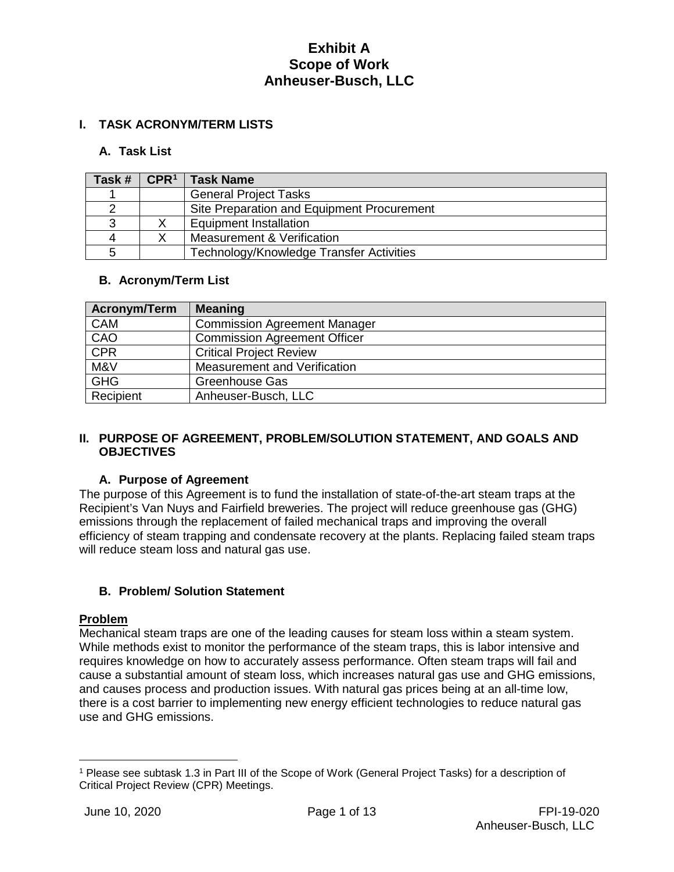## **I. TASK ACRONYM/TERM LISTS**

## **A. Task List**

| Task # | CPR <sup>1</sup> | <b>Task Name</b>                           |
|--------|------------------|--------------------------------------------|
|        |                  | <b>General Project Tasks</b>               |
|        |                  | Site Preparation and Equipment Procurement |
|        |                  | Equipment Installation                     |
|        |                  | Measurement & Verification                 |
|        |                  | Technology/Knowledge Transfer Activities   |

## **B. Acronym/Term List**

| <b>Acronym/Term</b> | <b>Meaning</b>                      |
|---------------------|-------------------------------------|
| <b>CAM</b>          | <b>Commission Agreement Manager</b> |
| CAO                 | <b>Commission Agreement Officer</b> |
| CPR                 | <b>Critical Project Review</b>      |
| M&V                 | Measurement and Verification        |
| <b>GHG</b>          | <b>Greenhouse Gas</b>               |
| Recipient           | Anheuser-Busch, LLC                 |

### **II. PURPOSE OF AGREEMENT, PROBLEM/SOLUTION STATEMENT, AND GOALS AND OBJECTIVES**

## **A. Purpose of Agreement**

The purpose of this Agreement is to fund the installation of state-of-the-art steam traps at the Recipient's Van Nuys and Fairfield breweries. The project will reduce greenhouse gas (GHG) emissions through the replacement of failed mechanical traps and improving the overall efficiency of steam trapping and condensate recovery at the plants. Replacing failed steam traps will reduce steam loss and natural gas use.

## **B. Problem/ Solution Statement**

### **Problem**

 $\overline{a}$ 

Mechanical steam traps are one of the leading causes for steam loss within a steam system. While methods exist to monitor the performance of the steam traps, this is labor intensive and requires knowledge on how to accurately assess performance. Often steam traps will fail and cause a substantial amount of steam loss, which increases natural gas use and GHG emissions, and causes process and production issues. With natural gas prices being at an all-time low, there is a cost barrier to implementing new energy efficient technologies to reduce natural gas use and GHG emissions.

<span id="page-3-0"></span><sup>1</sup> Please see subtask 1.3 in Part III of the Scope of Work (General Project Tasks) for a description of Critical Project Review (CPR) Meetings.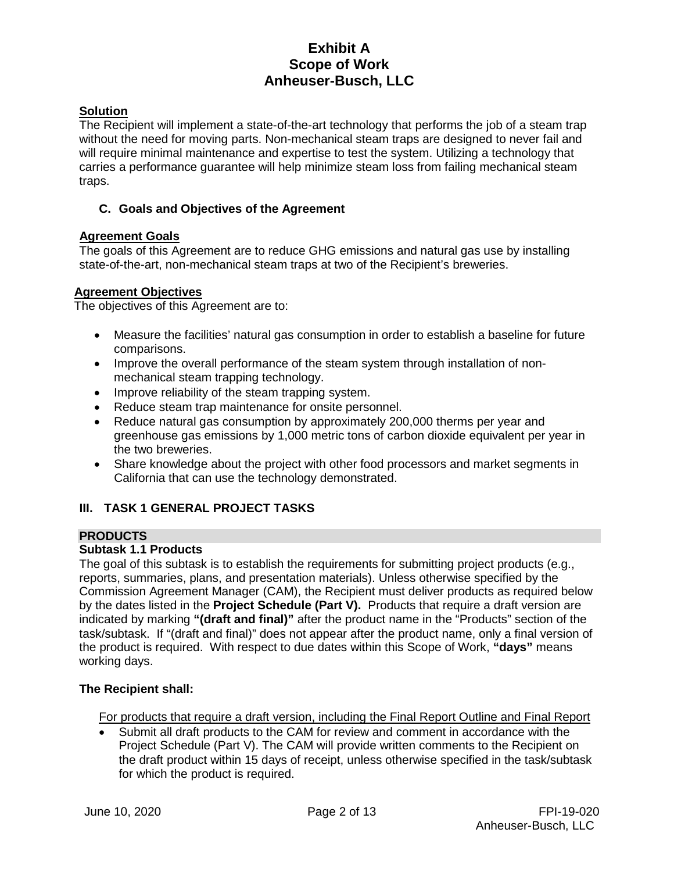## **Solution**

The Recipient will implement a state-of-the-art technology that performs the job of a steam trap without the need for moving parts. Non-mechanical steam traps are designed to never fail and will require minimal maintenance and expertise to test the system. Utilizing a technology that carries a performance guarantee will help minimize steam loss from failing mechanical steam traps.

## **C. Goals and Objectives of the Agreement**

## **Agreement Goals**

The goals of this Agreement are to reduce GHG emissions and natural gas use by installing state-of-the-art, non-mechanical steam traps at two of the Recipient's breweries.

### **Agreement Objectives**

The objectives of this Agreement are to:

- Measure the facilities' natural gas consumption in order to establish a baseline for future comparisons.
- Improve the overall performance of the steam system through installation of nonmechanical steam trapping technology.
- Improve reliability of the steam trapping system.
- Reduce steam trap maintenance for onsite personnel.
- Reduce natural gas consumption by approximately 200,000 therms per year and greenhouse gas emissions by 1,000 metric tons of carbon dioxide equivalent per year in the two breweries.
- Share knowledge about the project with other food processors and market segments in California that can use the technology demonstrated.

## **III. TASK 1 GENERAL PROJECT TASKS**

### **PRODUCTS**

## **Subtask 1.1 Products**

The goal of this subtask is to establish the requirements for submitting project products (e.g., reports, summaries, plans, and presentation materials). Unless otherwise specified by the Commission Agreement Manager (CAM), the Recipient must deliver products as required below by the dates listed in the **Project Schedule (Part V).** Products that require a draft version are indicated by marking **"(draft and final)"** after the product name in the "Products" section of the task/subtask. If "(draft and final)" does not appear after the product name, only a final version of the product is required. With respect to due dates within this Scope of Work, **"days"** means working days.

## **The Recipient shall:**

For products that require a draft version, including the Final Report Outline and Final Report

• Submit all draft products to the CAM for review and comment in accordance with the Project Schedule (Part V). The CAM will provide written comments to the Recipient on the draft product within 15 days of receipt, unless otherwise specified in the task/subtask for which the product is required.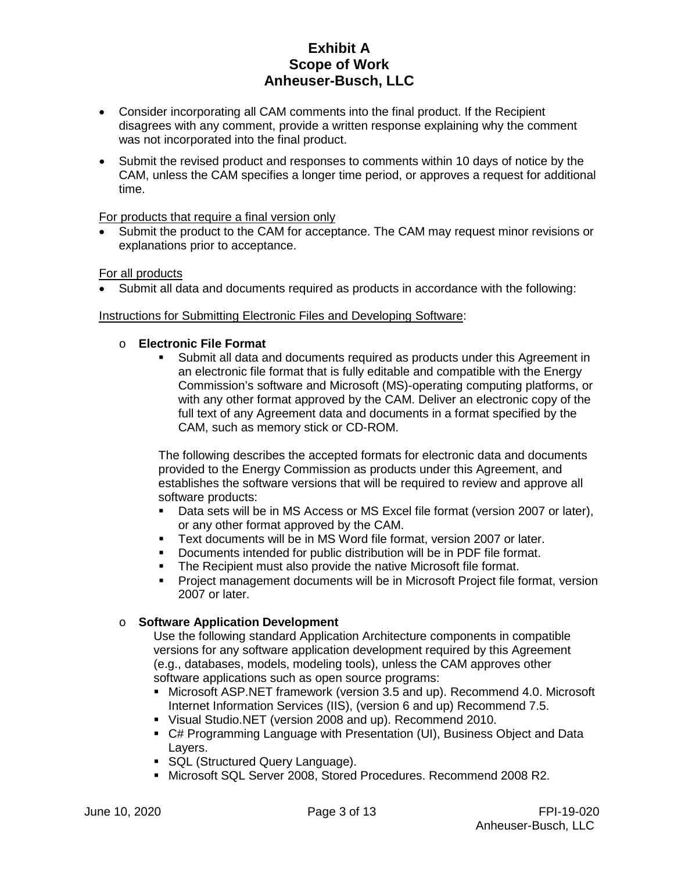- Consider incorporating all CAM comments into the final product. If the Recipient disagrees with any comment, provide a written response explaining why the comment was not incorporated into the final product.
- Submit the revised product and responses to comments within 10 days of notice by the CAM, unless the CAM specifies a longer time period, or approves a request for additional time.

### For products that require a final version only

Submit the product to the CAM for acceptance. The CAM may request minor revisions or explanations prior to acceptance.

### For all products

• Submit all data and documents required as products in accordance with the following:

### Instructions for Submitting Electronic Files and Developing Software:

### o **Electronic File Format**

 Submit all data and documents required as products under this Agreement in an electronic file format that is fully editable and compatible with the Energy Commission's software and Microsoft (MS)-operating computing platforms, or with any other format approved by the CAM. Deliver an electronic copy of the full text of any Agreement data and documents in a format specified by the CAM, such as memory stick or CD-ROM.

The following describes the accepted formats for electronic data and documents provided to the Energy Commission as products under this Agreement, and establishes the software versions that will be required to review and approve all software products:

- Data sets will be in MS Access or MS Excel file format (version 2007 or later), or any other format approved by the CAM.
- Text documents will be in MS Word file format, version 2007 or later.<br>■ Documents intended for public distribution will be in PDF file format
- Documents intended for public distribution will be in PDF file format.
- **The Recipient must also provide the native Microsoft file format.**
- Project management documents will be in Microsoft Project file format, version 2007 or later.

## o **Software Application Development**

Use the following standard Application Architecture components in compatible versions for any software application development required by this Agreement (e.g., databases, models, modeling tools), unless the CAM approves other software applications such as open source programs:

- Microsoft ASP.NET framework (version 3.5 and up). Recommend 4.0. Microsoft Internet Information Services (IIS), (version 6 and up) Recommend 7.5.
- Visual Studio.NET (version 2008 and up). Recommend 2010.
- C# Programming Language with Presentation (UI), Business Object and Data Layers.
- **SQL (Structured Query Language).**
- Microsoft SQL Server 2008, Stored Procedures. Recommend 2008 R2.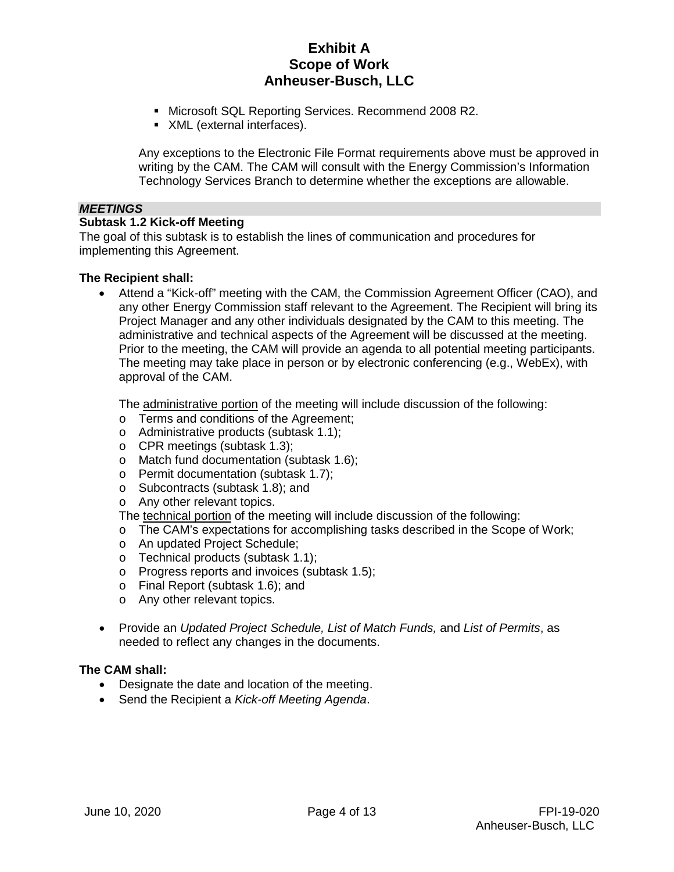- Microsoft SQL Reporting Services. Recommend 2008 R2.
- XML (external interfaces).

Any exceptions to the Electronic File Format requirements above must be approved in writing by the CAM. The CAM will consult with the Energy Commission's Information Technology Services Branch to determine whether the exceptions are allowable.

#### *MEETINGS*

#### **Subtask 1.2 Kick-off Meeting**

The goal of this subtask is to establish the lines of communication and procedures for implementing this Agreement.

#### **The Recipient shall:**

• Attend a "Kick-off" meeting with the CAM, the Commission Agreement Officer (CAO), and any other Energy Commission staff relevant to the Agreement. The Recipient will bring its Project Manager and any other individuals designated by the CAM to this meeting. The administrative and technical aspects of the Agreement will be discussed at the meeting. Prior to the meeting, the CAM will provide an agenda to all potential meeting participants. The meeting may take place in person or by electronic conferencing (e.g., WebEx), with approval of the CAM.

The administrative portion of the meeting will include discussion of the following:

- o Terms and conditions of the Agreement;
- o Administrative products (subtask 1.1);
- o CPR meetings (subtask 1.3);
- o Match fund documentation (subtask 1.6);
- o Permit documentation (subtask 1.7);
- o Subcontracts (subtask 1.8); and
- o Any other relevant topics.

The technical portion of the meeting will include discussion of the following:

- o The CAM's expectations for accomplishing tasks described in the Scope of Work;
- o An updated Project Schedule;
- o Technical products (subtask 1.1);
- o Progress reports and invoices (subtask 1.5);
- o Final Report (subtask 1.6); and
- o Any other relevant topics.
- Provide an *Updated Project Schedule, List of Match Funds,* and *List of Permits*, as needed to reflect any changes in the documents.

### **The CAM shall:**

- Designate the date and location of the meeting.
- Send the Recipient a *Kick-off Meeting Agenda*.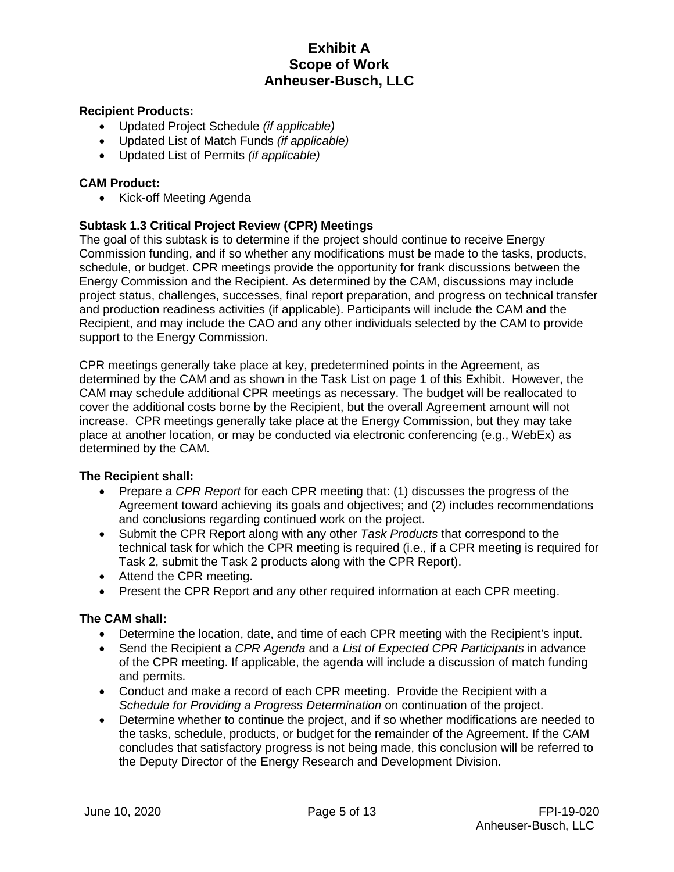### **Recipient Products:**

- Updated Project Schedule *(if applicable)*
- Updated List of Match Funds *(if applicable)*
- Updated List of Permits *(if applicable)*

### **CAM Product:**

• Kick-off Meeting Agenda

## **Subtask 1.3 Critical Project Review (CPR) Meetings**

The goal of this subtask is to determine if the project should continue to receive Energy Commission funding, and if so whether any modifications must be made to the tasks, products, schedule, or budget. CPR meetings provide the opportunity for frank discussions between the Energy Commission and the Recipient. As determined by the CAM, discussions may include project status, challenges, successes, final report preparation, and progress on technical transfer and production readiness activities (if applicable). Participants will include the CAM and the Recipient, and may include the CAO and any other individuals selected by the CAM to provide support to the Energy Commission.

CPR meetings generally take place at key, predetermined points in the Agreement, as determined by the CAM and as shown in the Task List on page 1 of this Exhibit. However, the CAM may schedule additional CPR meetings as necessary. The budget will be reallocated to cover the additional costs borne by the Recipient, but the overall Agreement amount will not increase. CPR meetings generally take place at the Energy Commission, but they may take place at another location, or may be conducted via electronic conferencing (e.g., WebEx) as determined by the CAM.

## **The Recipient shall:**

- Prepare a *CPR Report* for each CPR meeting that: (1) discusses the progress of the Agreement toward achieving its goals and objectives; and (2) includes recommendations and conclusions regarding continued work on the project.
- Submit the CPR Report along with any other *Task Products* that correspond to the technical task for which the CPR meeting is required (i.e., if a CPR meeting is required for Task 2, submit the Task 2 products along with the CPR Report).
- Attend the CPR meeting.
- Present the CPR Report and any other required information at each CPR meeting.

### **The CAM shall:**

- Determine the location, date, and time of each CPR meeting with the Recipient's input.
- Send the Recipient a *CPR Agenda* and a *List of Expected CPR Participants* in advance of the CPR meeting. If applicable, the agenda will include a discussion of match funding and permits.
- Conduct and make a record of each CPR meeting. Provide the Recipient with a *Schedule for Providing a Progress Determination* on continuation of the project.
- Determine whether to continue the project, and if so whether modifications are needed to the tasks, schedule, products, or budget for the remainder of the Agreement. If the CAM concludes that satisfactory progress is not being made, this conclusion will be referred to the Deputy Director of the Energy Research and Development Division.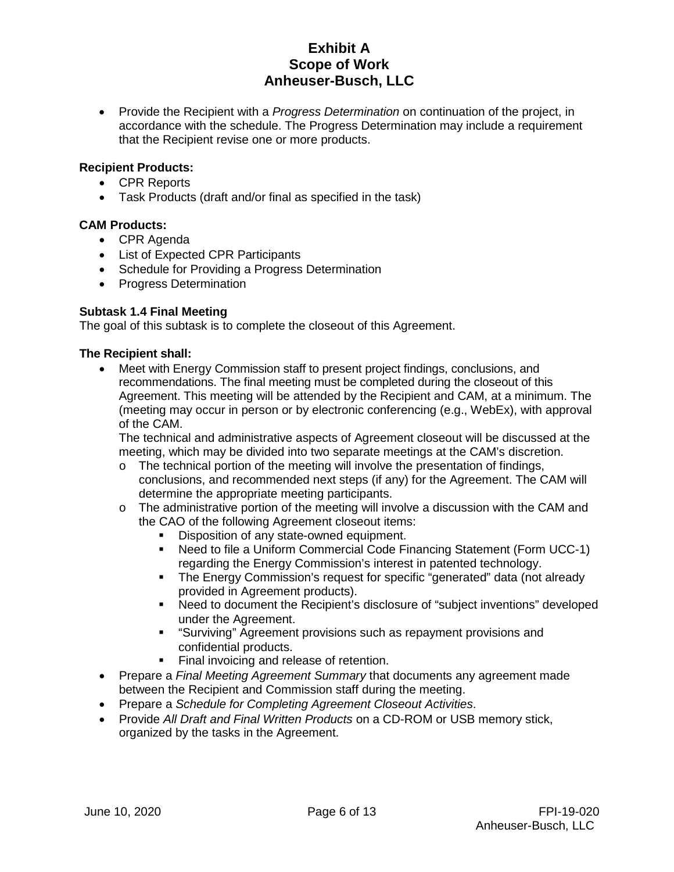• Provide the Recipient with a *Progress Determination* on continuation of the project, in accordance with the schedule. The Progress Determination may include a requirement that the Recipient revise one or more products.

## **Recipient Products:**

- CPR Reports
- Task Products (draft and/or final as specified in the task)

### **CAM Products:**

- CPR Agenda
- List of Expected CPR Participants
- Schedule for Providing a Progress Determination
- Progress Determination

## **Subtask 1.4 Final Meeting**

The goal of this subtask is to complete the closeout of this Agreement.

### **The Recipient shall:**

• Meet with Energy Commission staff to present project findings, conclusions, and recommendations. The final meeting must be completed during the closeout of this Agreement. This meeting will be attended by the Recipient and CAM, at a minimum. The (meeting may occur in person or by electronic conferencing (e.g., WebEx), with approval of the CAM.

The technical and administrative aspects of Agreement closeout will be discussed at the meeting, which may be divided into two separate meetings at the CAM's discretion.

- o The technical portion of the meeting will involve the presentation of findings, conclusions, and recommended next steps (if any) for the Agreement. The CAM will determine the appropriate meeting participants.
- $\circ$  The administrative portion of the meeting will involve a discussion with the CAM and the CAO of the following Agreement closeout items:
	- Disposition of any state-owned equipment.
	- Need to file a Uniform Commercial Code Financing Statement (Form UCC-1) regarding the Energy Commission's interest in patented technology.
	- The Energy Commission's request for specific "generated" data (not already provided in Agreement products).
	- Need to document the Recipient's disclosure of "subject inventions" developed under the Agreement.
	- "Surviving" Agreement provisions such as repayment provisions and confidential products.
	- Final invoicing and release of retention.
- Prepare a *Final Meeting Agreement Summary* that documents any agreement made between the Recipient and Commission staff during the meeting.
- Prepare a *Schedule for Completing Agreement Closeout Activities*.
- Provide *All Draft and Final Written Products* on a CD-ROM or USB memory stick, organized by the tasks in the Agreement.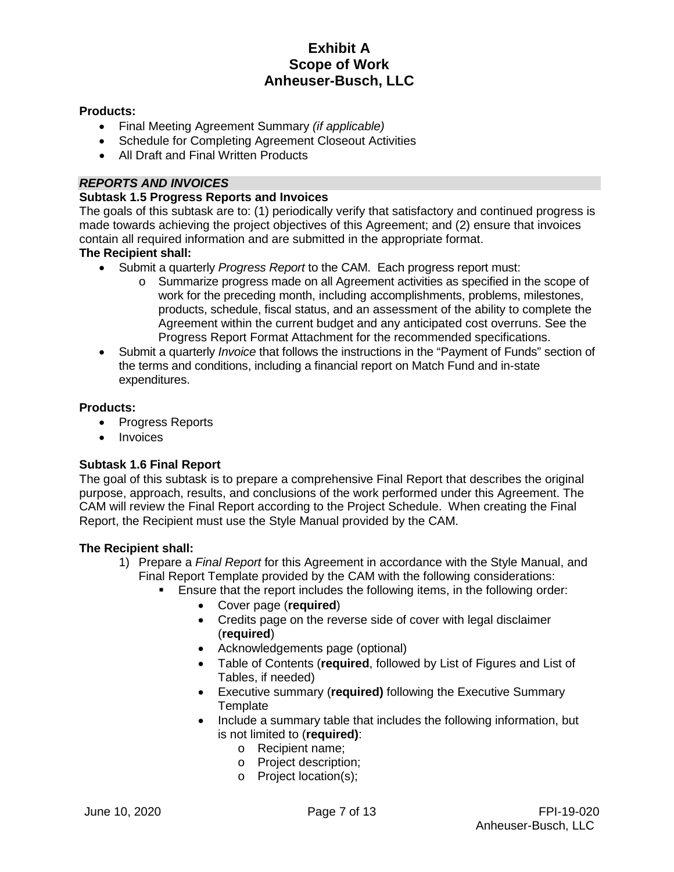### **Products:**

- Final Meeting Agreement Summary *(if applicable)*
- Schedule for Completing Agreement Closeout Activities
- All Draft and Final Written Products

## *REPORTS AND INVOICES*

### **Subtask 1.5 Progress Reports and Invoices**

The goals of this subtask are to: (1) periodically verify that satisfactory and continued progress is made towards achieving the project objectives of this Agreement; and (2) ensure that invoices contain all required information and are submitted in the appropriate format.

## **The Recipient shall:**

- Submit a quarterly *Progress Report* to the CAM. Each progress report must:
	- o Summarize progress made on all Agreement activities as specified in the scope of work for the preceding month, including accomplishments, problems, milestones, products, schedule, fiscal status, and an assessment of the ability to complete the Agreement within the current budget and any anticipated cost overruns. See the Progress Report Format Attachment for the recommended specifications.
- Submit a quarterly *Invoice* that follows the instructions in the "Payment of Funds" section of the terms and conditions, including a financial report on Match Fund and in-state expenditures.

### **Products:**

- Progress Reports
- Invoices

## **Subtask 1.6 Final Report**

The goal of this subtask is to prepare a comprehensive Final Report that describes the original purpose, approach, results, and conclusions of the work performed under this Agreement. The CAM will review the Final Report according to the Project Schedule. When creating the Final Report, the Recipient must use the Style Manual provided by the CAM.

### **The Recipient shall:**

- 1) Prepare a *Final Report* for this Agreement in accordance with the Style Manual, and Final Report Template provided by the CAM with the following considerations:
	- Ensure that the report includes the following items, in the following order:
		- Cover page (**required**)
		- Credits page on the reverse side of cover with legal disclaimer (**required**)
		- Acknowledgements page (optional)
		- Table of Contents (**required**, followed by List of Figures and List of Tables, if needed)
		- Executive summary (**required)** following the Executive Summary **Template**
		- Include a summary table that includes the following information, but is not limited to (**required)**:
			- o Recipient name;
			- o Project description;
			- o Project location(s);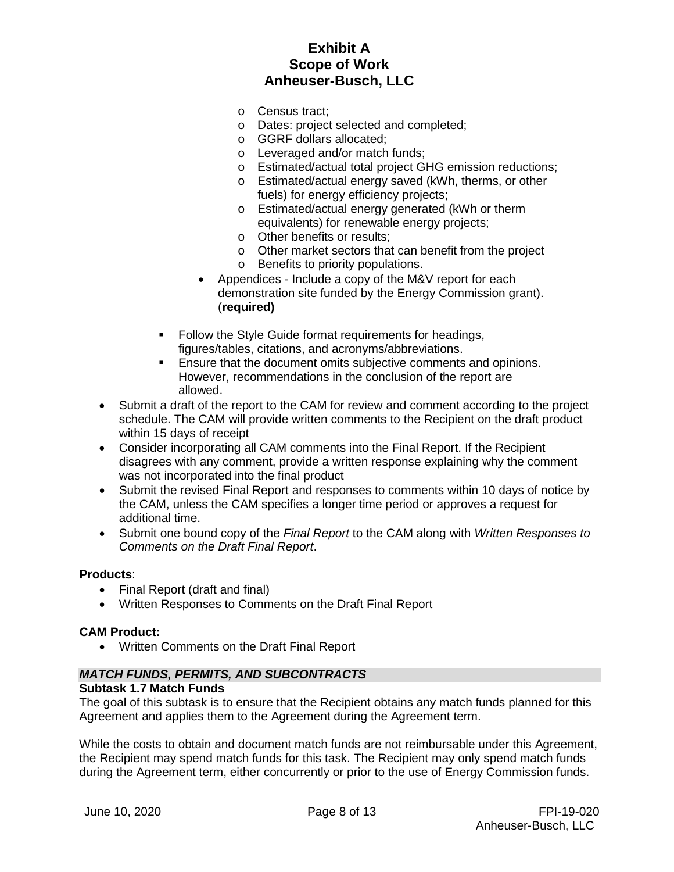- o Census tract;
- o Dates: project selected and completed;
- o GGRF dollars allocated;
- o Leveraged and/or match funds;
- o Estimated/actual total project GHG emission reductions;
- o Estimated/actual energy saved (kWh, therms, or other fuels) for energy efficiency projects;
- o Estimated/actual energy generated (kWh or therm equivalents) for renewable energy projects;
- o Other benefits or results;
- o Other market sectors that can benefit from the project
- o Benefits to priority populations.
- Appendices Include a copy of the M&V report for each demonstration site funded by the Energy Commission grant). (**required)**
- Follow the Style Guide format requirements for headings, figures/tables, citations, and acronyms/abbreviations.
- **Ensure that the document omits subjective comments and opinions.** However, recommendations in the conclusion of the report are allowed.
- Submit a draft of the report to the CAM for review and comment according to the project schedule. The CAM will provide written comments to the Recipient on the draft product within 15 days of receipt
- Consider incorporating all CAM comments into the Final Report. If the Recipient disagrees with any comment, provide a written response explaining why the comment was not incorporated into the final product
- Submit the revised Final Report and responses to comments within 10 days of notice by the CAM, unless the CAM specifies a longer time period or approves a request for additional time.
- Submit one bound copy of the *Final Report* to the CAM along with *Written Responses to Comments on the Draft Final Report*.

### **Products**:

- Final Report (draft and final)
- Written Responses to Comments on the Draft Final Report

### **CAM Product:**

• Written Comments on the Draft Final Report

## *MATCH FUNDS, PERMITS, AND SUBCONTRACTS*

### **Subtask 1.7 Match Funds**

The goal of this subtask is to ensure that the Recipient obtains any match funds planned for this Agreement and applies them to the Agreement during the Agreement term.

While the costs to obtain and document match funds are not reimbursable under this Agreement, the Recipient may spend match funds for this task. The Recipient may only spend match funds during the Agreement term, either concurrently or prior to the use of Energy Commission funds.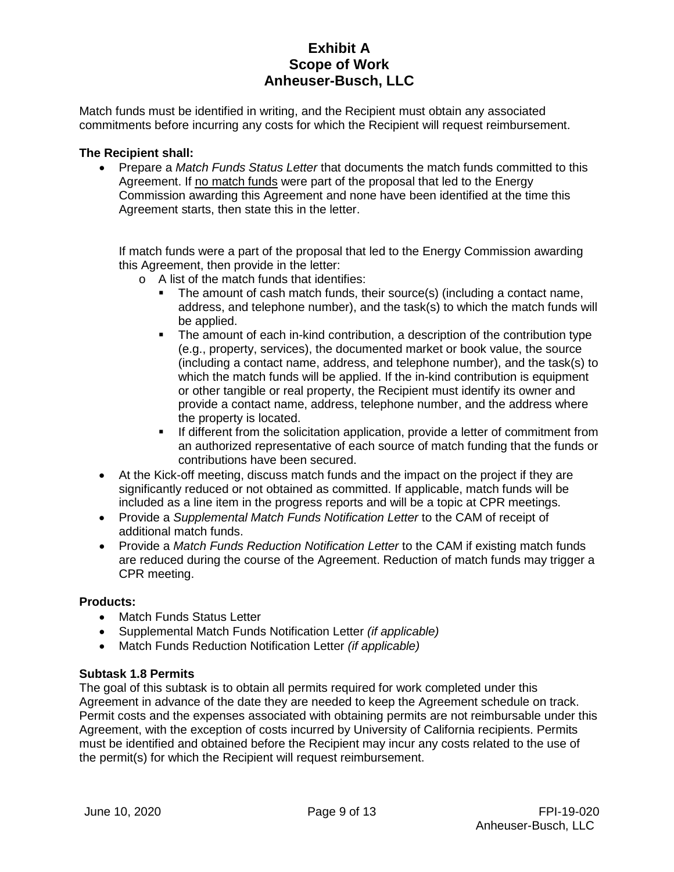Match funds must be identified in writing, and the Recipient must obtain any associated commitments before incurring any costs for which the Recipient will request reimbursement.

### **The Recipient shall:**

• Prepare a *Match Funds Status Letter* that documents the match funds committed to this Agreement. If no match funds were part of the proposal that led to the Energy Commission awarding this Agreement and none have been identified at the time this Agreement starts, then state this in the letter.

If match funds were a part of the proposal that led to the Energy Commission awarding this Agreement, then provide in the letter:

- o A list of the match funds that identifies:
	- The amount of cash match funds, their source(s) (including a contact name, address, and telephone number), and the task(s) to which the match funds will be applied.
	- The amount of each in-kind contribution, a description of the contribution type (e.g., property, services), the documented market or book value, the source (including a contact name, address, and telephone number), and the task(s) to which the match funds will be applied. If the in-kind contribution is equipment or other tangible or real property, the Recipient must identify its owner and provide a contact name, address, telephone number, and the address where the property is located.
	- If different from the solicitation application, provide a letter of commitment from an authorized representative of each source of match funding that the funds or contributions have been secured.
- At the Kick-off meeting, discuss match funds and the impact on the project if they are significantly reduced or not obtained as committed. If applicable, match funds will be included as a line item in the progress reports and will be a topic at CPR meetings.
- Provide a *Supplemental Match Funds Notification Letter* to the CAM of receipt of additional match funds.
- Provide a *Match Funds Reduction Notification Letter* to the CAM if existing match funds are reduced during the course of the Agreement. Reduction of match funds may trigger a CPR meeting.

### **Products:**

- Match Funds Status Letter
- Supplemental Match Funds Notification Letter *(if applicable)*
- Match Funds Reduction Notification Letter *(if applicable)*

### **Subtask 1.8 Permits**

The goal of this subtask is to obtain all permits required for work completed under this Agreement in advance of the date they are needed to keep the Agreement schedule on track. Permit costs and the expenses associated with obtaining permits are not reimbursable under this Agreement, with the exception of costs incurred by University of California recipients. Permits must be identified and obtained before the Recipient may incur any costs related to the use of the permit(s) for which the Recipient will request reimbursement.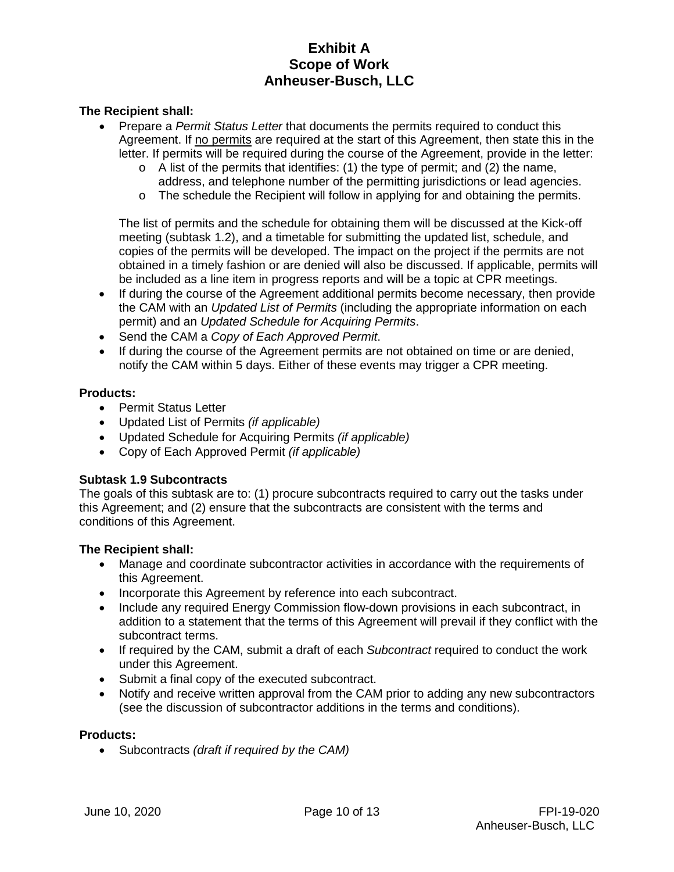### **The Recipient shall:**

- Prepare a *Permit Status Letter* that documents the permits required to conduct this Agreement. If no permits are required at the start of this Agreement, then state this in the letter. If permits will be required during the course of the Agreement, provide in the letter:
	- $\circ$  A list of the permits that identifies: (1) the type of permit; and (2) the name, address, and telephone number of the permitting jurisdictions or lead agencies.
	- $\circ$  The schedule the Recipient will follow in applying for and obtaining the permits.

The list of permits and the schedule for obtaining them will be discussed at the Kick-off meeting (subtask 1.2), and a timetable for submitting the updated list, schedule, and copies of the permits will be developed. The impact on the project if the permits are not obtained in a timely fashion or are denied will also be discussed. If applicable, permits will be included as a line item in progress reports and will be a topic at CPR meetings.

- If during the course of the Agreement additional permits become necessary, then provide the CAM with an *Updated List of Permits* (including the appropriate information on each permit) and an *Updated Schedule for Acquiring Permits*.
- Send the CAM a *Copy of Each Approved Permit*.
- If during the course of the Agreement permits are not obtained on time or are denied, notify the CAM within 5 days. Either of these events may trigger a CPR meeting.

### **Products:**

- Permit Status Letter
- Updated List of Permits *(if applicable)*
- Updated Schedule for Acquiring Permits *(if applicable)*
- Copy of Each Approved Permit *(if applicable)*

## **Subtask 1.9 Subcontracts**

The goals of this subtask are to: (1) procure subcontracts required to carry out the tasks under this Agreement; and (2) ensure that the subcontracts are consistent with the terms and conditions of this Agreement.

### **The Recipient shall:**

- Manage and coordinate subcontractor activities in accordance with the requirements of this Agreement.
- Incorporate this Agreement by reference into each subcontract.
- Include any required Energy Commission flow-down provisions in each subcontract, in addition to a statement that the terms of this Agreement will prevail if they conflict with the subcontract terms.
- If required by the CAM, submit a draft of each *Subcontract* required to conduct the work under this Agreement.
- Submit a final copy of the executed subcontract.
- Notify and receive written approval from the CAM prior to adding any new subcontractors (see the discussion of subcontractor additions in the terms and conditions).

### **Products:**

• Subcontracts *(draft if required by the CAM)*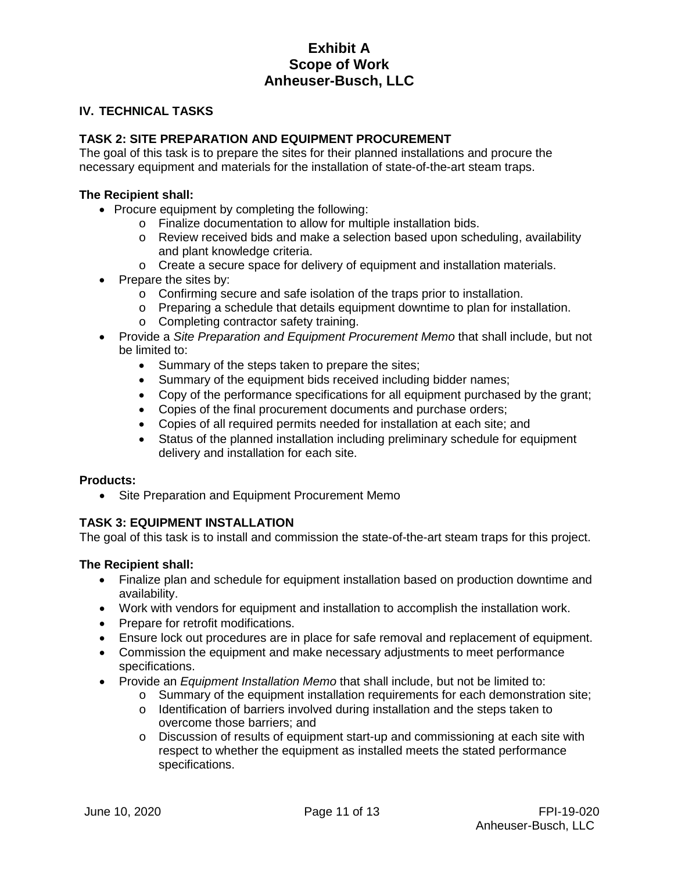### **IV. TECHNICAL TASKS**

## **TASK 2: SITE PREPARATION AND EQUIPMENT PROCUREMENT**

The goal of this task is to prepare the sites for their planned installations and procure the necessary equipment and materials for the installation of state-of-the-art steam traps.

### **The Recipient shall:**

- Procure equipment by completing the following:
	- o Finalize documentation to allow for multiple installation bids.
	- o Review received bids and make a selection based upon scheduling, availability and plant knowledge criteria.
	- $\circ$  Create a secure space for delivery of equipment and installation materials.
- Prepare the sites by:
	- o Confirming secure and safe isolation of the traps prior to installation.
	- $\circ$  Preparing a schedule that details equipment downtime to plan for installation.
	- o Completing contractor safety training.
- Provide a *Site Preparation and Equipment Procurement Memo* that shall include, but not be limited to:
	- Summary of the steps taken to prepare the sites;
	- Summary of the equipment bids received including bidder names;
	- Copy of the performance specifications for all equipment purchased by the grant;
	- Copies of the final procurement documents and purchase orders;
	- Copies of all required permits needed for installation at each site; and
	- Status of the planned installation including preliminary schedule for equipment delivery and installation for each site.

### **Products:**

• Site Preparation and Equipment Procurement Memo

## **TASK 3: EQUIPMENT INSTALLATION**

The goal of this task is to install and commission the state-of-the-art steam traps for this project.

### **The Recipient shall:**

- Finalize plan and schedule for equipment installation based on production downtime and availability.
- Work with vendors for equipment and installation to accomplish the installation work.
- Prepare for retrofit modifications.
- Ensure lock out procedures are in place for safe removal and replacement of equipment.
- Commission the equipment and make necessary adjustments to meet performance specifications.
- Provide an *Equipment Installation Memo* that shall include, but not be limited to:
	- $\circ$  Summary of the equipment installation requirements for each demonstration site;
	- $\circ$  Identification of barriers involved during installation and the steps taken to overcome those barriers; and
	- o Discussion of results of equipment start-up and commissioning at each site with respect to whether the equipment as installed meets the stated performance specifications.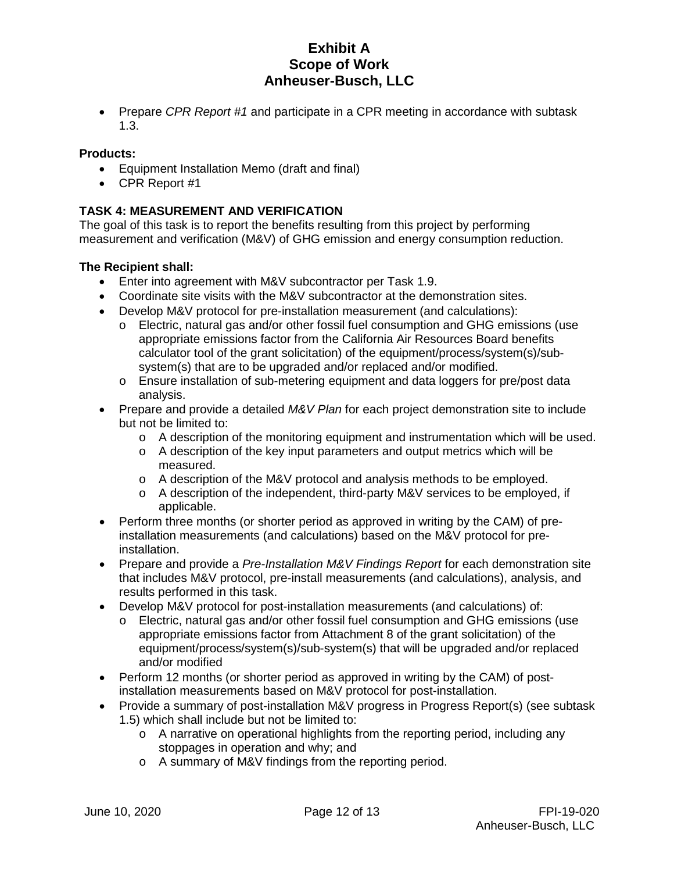• Prepare *CPR Report #1* and participate in a CPR meeting in accordance with subtask 1.3.

## **Products:**

- Equipment Installation Memo (draft and final)
- CPR Report #1

## **TASK 4: MEASUREMENT AND VERIFICATION**

The goal of this task is to report the benefits resulting from this project by performing measurement and verification (M&V) of GHG emission and energy consumption reduction.

## **The Recipient shall:**

- Enter into agreement with M&V subcontractor per Task 1.9.
- Coordinate site visits with the M&V subcontractor at the demonstration sites.
- Develop M&V protocol for pre-installation measurement (and calculations):
	- o Electric, natural gas and/or other fossil fuel consumption and GHG emissions (use appropriate emissions factor from the California Air Resources Board benefits calculator tool of the grant solicitation) of the equipment/process/system(s)/subsystem(s) that are to be upgraded and/or replaced and/or modified.
	- o Ensure installation of sub-metering equipment and data loggers for pre/post data analysis.
- Prepare and provide a detailed *M&V Plan* for each project demonstration site to include but not be limited to:
	- $\circ$  A description of the monitoring equipment and instrumentation which will be used.
	- $\circ$  A description of the key input parameters and output metrics which will be measured.
	- o A description of the M&V protocol and analysis methods to be employed.
	- o A description of the independent, third-party M&V services to be employed, if applicable.
- Perform three months (or shorter period as approved in writing by the CAM) of preinstallation measurements (and calculations) based on the M&V protocol for preinstallation.
- Prepare and provide a *Pre-Installation M&V Findings Report* for each demonstration site that includes M&V protocol, pre-install measurements (and calculations), analysis, and results performed in this task.
- Develop M&V protocol for post-installation measurements (and calculations) of:
	- o Electric, natural gas and/or other fossil fuel consumption and GHG emissions (use appropriate emissions factor from Attachment 8 of the grant solicitation) of the equipment/process/system(s)/sub-system(s) that will be upgraded and/or replaced and/or modified
- Perform 12 months (or shorter period as approved in writing by the CAM) of postinstallation measurements based on M&V protocol for post-installation.
- Provide a summary of post-installation M&V progress in Progress Report(s) (see subtask 1.5) which shall include but not be limited to:
	- o A narrative on operational highlights from the reporting period, including any stoppages in operation and why; and
	- o A summary of M&V findings from the reporting period.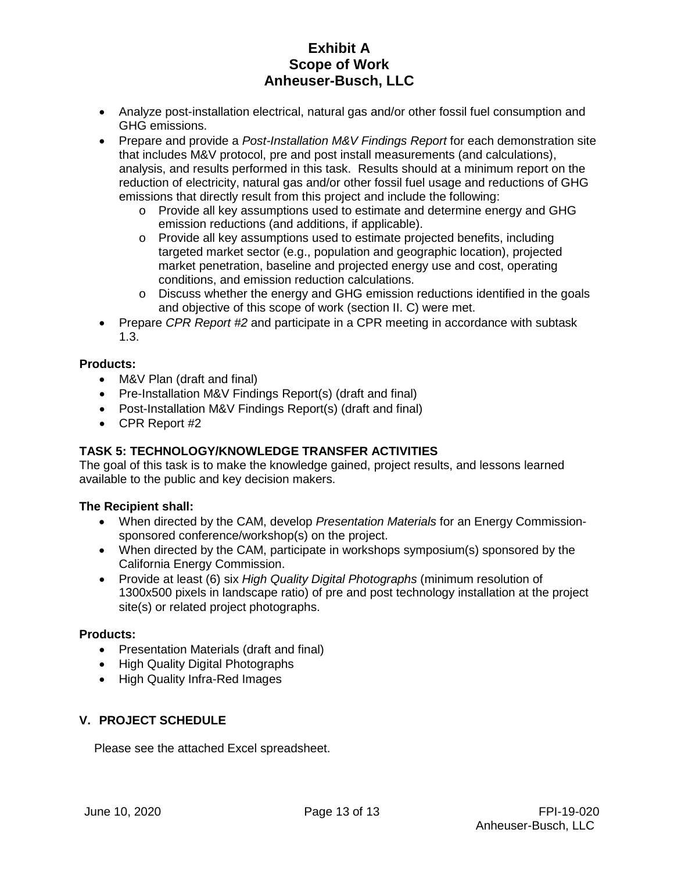- Analyze post-installation electrical, natural gas and/or other fossil fuel consumption and GHG emissions.
- Prepare and provide a *Post-Installation M&V Findings Report* for each demonstration site that includes M&V protocol, pre and post install measurements (and calculations), analysis, and results performed in this task. Results should at a minimum report on the reduction of electricity, natural gas and/or other fossil fuel usage and reductions of GHG emissions that directly result from this project and include the following:
	- o Provide all key assumptions used to estimate and determine energy and GHG emission reductions (and additions, if applicable).
	- o Provide all key assumptions used to estimate projected benefits, including targeted market sector (e.g., population and geographic location), projected market penetration, baseline and projected energy use and cost, operating conditions, and emission reduction calculations.
	- $\circ$  Discuss whether the energy and GHG emission reductions identified in the goals and objective of this scope of work (section II. C) were met.
- Prepare *CPR Report #2* and participate in a CPR meeting in accordance with subtask 1.3.

## **Products:**

- M&V Plan (draft and final)
- Pre-Installation M&V Findings Report(s) (draft and final)
- Post-Installation M&V Findings Report(s) (draft and final)
- CPR Report #2

## **TASK 5: TECHNOLOGY/KNOWLEDGE TRANSFER ACTIVITIES**

The goal of this task is to make the knowledge gained, project results, and lessons learned available to the public and key decision makers.

## **The Recipient shall:**

- When directed by the CAM, develop *Presentation Materials* for an Energy Commissionsponsored conference/workshop(s) on the project.
- When directed by the CAM, participate in workshops symposium(s) sponsored by the California Energy Commission.
- Provide at least (6) six *High Quality Digital Photographs* (minimum resolution of 1300x500 pixels in landscape ratio) of pre and post technology installation at the project site(s) or related project photographs.

## **Products:**

- Presentation Materials (draft and final)
- High Quality Digital Photographs
- High Quality Infra-Red Images

## **V. PROJECT SCHEDULE**

Please see the attached Excel spreadsheet.